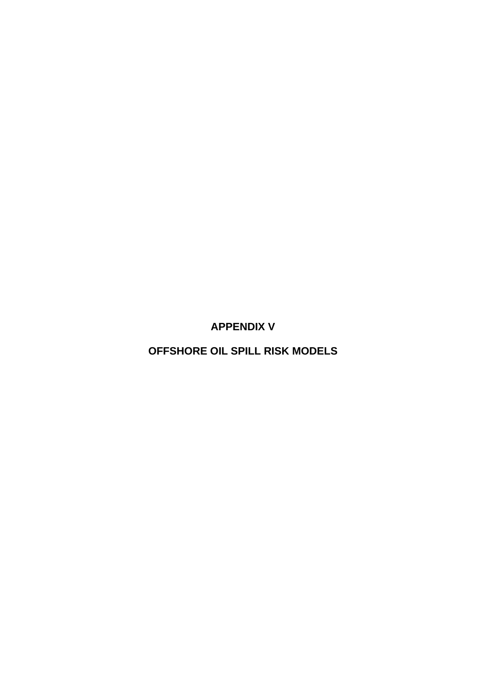**APPENDIX V** 

**OFFSHORE OIL SPILL RISK MODELS**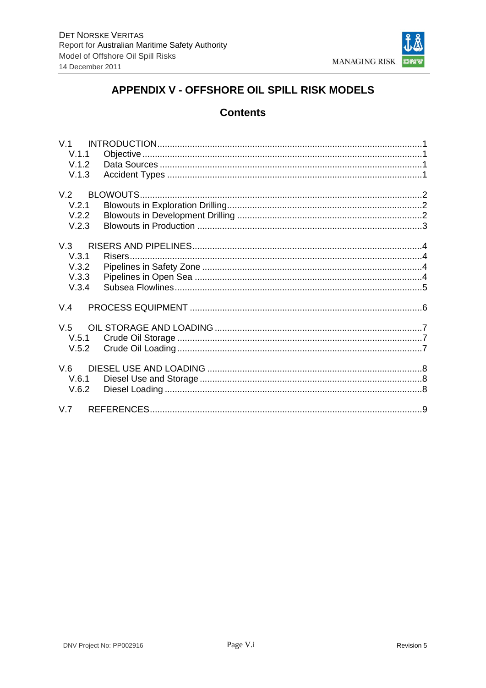

# APPENDIX V - OFFSHORE OIL SPILL RISK MODELS

## **Contents**

| V.1.1 |  |
|-------|--|
| V.1.2 |  |
| V.1.3 |  |
|       |  |
| V.2.1 |  |
| V.2.2 |  |
| V.2.3 |  |
|       |  |
| V.3.1 |  |
| V.3.2 |  |
| V.3.3 |  |
| V.3.4 |  |
| V.4   |  |
|       |  |
|       |  |
| V.5.2 |  |
|       |  |
| V.6.1 |  |
| V.6.2 |  |
|       |  |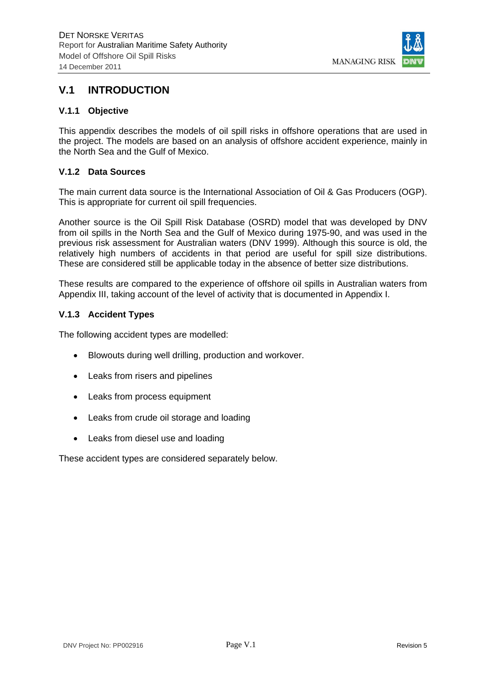

## **V.1 INTRODUCTION**

#### **V.1.1 Objective**

This appendix describes the models of oil spill risks in offshore operations that are used in the project. The models are based on an analysis of offshore accident experience, mainly in the North Sea and the Gulf of Mexico.

#### **V.1.2 Data Sources**

The main current data source is the International Association of Oil & Gas Producers (OGP). This is appropriate for current oil spill frequencies.

Another source is the Oil Spill Risk Database (OSRD) model that was developed by DNV from oil spills in the North Sea and the Gulf of Mexico during 1975-90, and was used in the previous risk assessment for Australian waters (DNV 1999). Although this source is old, the relatively high numbers of accidents in that period are useful for spill size distributions. These are considered still be applicable today in the absence of better size distributions.

These results are compared to the experience of offshore oil spills in Australian waters from Appendix III, taking account of the level of activity that is documented in Appendix I.

#### **V.1.3 Accident Types**

The following accident types are modelled:

- Blowouts during well drilling, production and workover.
- Leaks from risers and pipelines
- Leaks from process equipment
- Leaks from crude oil storage and loading
- Leaks from diesel use and loading

These accident types are considered separately below.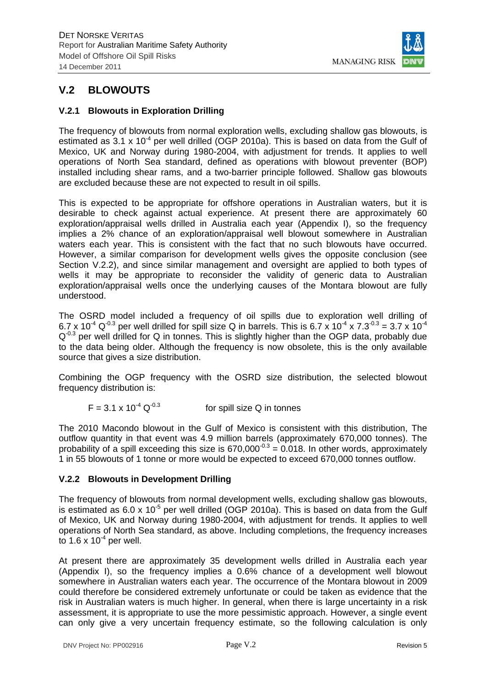

# **V.2 BLOWOUTS**

### **V.2.1 Blowouts in Exploration Drilling**

The frequency of blowouts from normal exploration wells, excluding shallow gas blowouts, is estimated as  $3.1 \times 10^{-4}$  per well drilled (OGP 2010a). This is based on data from the Gulf of Mexico, UK and Norway during 1980-2004, with adjustment for trends. It applies to well operations of North Sea standard, defined as operations with blowout preventer (BOP) installed including shear rams, and a two-barrier principle followed. Shallow gas blowouts are excluded because these are not expected to result in oil spills.

This is expected to be appropriate for offshore operations in Australian waters, but it is desirable to check against actual experience. At present there are approximately 60 exploration/appraisal wells drilled in Australia each year (Appendix I), so the frequency implies a 2% chance of an exploration/appraisal well blowout somewhere in Australian waters each year. This is consistent with the fact that no such blowouts have occurred. However, a similar comparison for development wells gives the opposite conclusion (see Section V.2.2), and since similar management and oversight are applied to both types of wells it may be appropriate to reconsider the validity of generic data to Australian exploration/appraisal wells once the underlying causes of the Montara blowout are fully understood.

The OSRD model included a frequency of oil spills due to exploration well drilling of 6.7 x 10<sup>-4</sup> Q<sup>-0.3</sup> per well drilled for spill size Q in barrels. This is 6.7 x 10<sup>-4</sup> x 7.3<sup>-0.3</sup> = 3.7 x 10<sup>-4</sup>  $Q<sup>-0.3</sup>$  per well drilled for Q in tonnes. This is slightly higher than the OGP data, probably due to the data being older. Although the frequency is now obsolete, this is the only available source that gives a size distribution.

Combining the OGP frequency with the OSRD size distribution, the selected blowout frequency distribution is:

$$
F = 3.1 \times 10^{-4} \, \text{Q}^{-0.3}
$$
 for spill size Q in tonnes

The 2010 Macondo blowout in the Gulf of Mexico is consistent with this distribution, The outflow quantity in that event was 4.9 million barrels (approximately 670,000 tonnes). The probability of a spill exceeding this size is  $670,000^{-0.3} = 0.018$ . In other words, approximately 1 in 55 blowouts of 1 tonne or more would be expected to exceed 670,000 tonnes outflow.

### **V.2.2 Blowouts in Development Drilling**

The frequency of blowouts from normal development wells, excluding shallow gas blowouts, is estimated as  $6.0 \times 10^{-5}$  per well drilled (OGP 2010a). This is based on data from the Gulf of Mexico, UK and Norway during 1980-2004, with adjustment for trends. It applies to well operations of North Sea standard, as above. Including completions, the frequency increases to  $1.6 \times 10^{-4}$  per well.

At present there are approximately 35 development wells drilled in Australia each year (Appendix I), so the frequency implies a 0.6% chance of a development well blowout somewhere in Australian waters each year. The occurrence of the Montara blowout in 2009 could therefore be considered extremely unfortunate or could be taken as evidence that the risk in Australian waters is much higher. In general, when there is large uncertainty in a risk assessment, it is appropriate to use the more pessimistic approach. However, a single event can only give a very uncertain frequency estimate, so the following calculation is only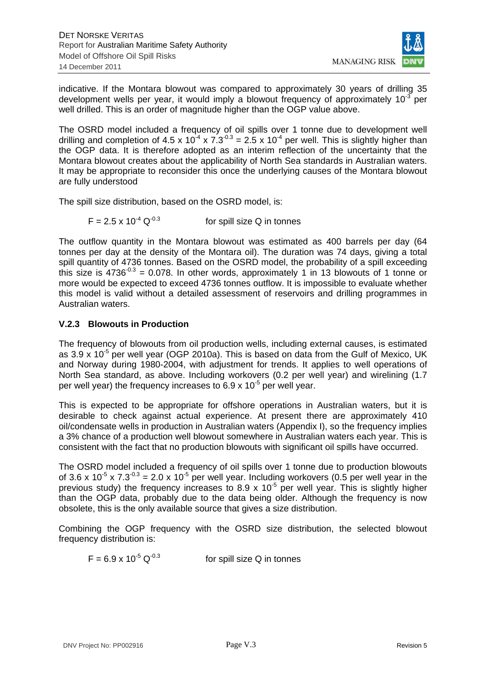

indicative. If the Montara blowout was compared to approximately 30 years of drilling 35 development wells per year, it would imply a blowout frequency of approximately  $10^{-3}$  per well drilled. This is an order of magnitude higher than the OGP value above.

The OSRD model included a frequency of oil spills over 1 tonne due to development well drilling and completion of 4.5 x 10<sup>-4</sup> x 7.3<sup>-0.3</sup> = 2.5 x 10<sup>-4</sup> per well. This is slightly higher than the OGP data. It is therefore adopted as an interim reflection of the uncertainty that the Montara blowout creates about the applicability of North Sea standards in Australian waters. It may be appropriate to reconsider this once the underlying causes of the Montara blowout are fully understood

The spill size distribution, based on the OSRD model, is:

$$
F = 2.5 \times 10^{-4} \text{ Q}^{-0.3}
$$
 for spill size Q in tonnes

The outflow quantity in the Montara blowout was estimated as 400 barrels per day (64 tonnes per day at the density of the Montara oil). The duration was 74 days, giving a total spill quantity of 4736 tonnes. Based on the OSRD model, the probability of a spill exceeding this size is  $4736^{-0.3} = 0.078$ . In other words, approximately 1 in 13 blowouts of 1 tonne or more would be expected to exceed 4736 tonnes outflow. It is impossible to evaluate whether this model is valid without a detailed assessment of reservoirs and drilling programmes in Australian waters.

#### **V.2.3 Blowouts in Production**

The frequency of blowouts from oil production wells, including external causes, is estimated as  $3.9 \times 10^{-5}$  per well year (OGP 2010a). This is based on data from the Gulf of Mexico, UK and Norway during 1980-2004, with adjustment for trends. It applies to well operations of North Sea standard, as above. Including workovers (0.2 per well year) and wirelining (1.7 per well year) the frequency increases to  $6.9 \times 10^{-5}$  per well year.

This is expected to be appropriate for offshore operations in Australian waters, but it is desirable to check against actual experience. At present there are approximately 410 oil/condensate wells in production in Australian waters (Appendix I), so the frequency implies a 3% chance of a production well blowout somewhere in Australian waters each year. This is consistent with the fact that no production blowouts with significant oil spills have occurred.

The OSRD model included a frequency of oil spills over 1 tonne due to production blowouts of 3.6 x 10<sup>-5</sup> x 7.3<sup>-0.3</sup> = 2.0 x 10<sup>-5</sup> per well year. Including workovers (0.5 per well year in the previous study) the frequency increases to 8.9 x  $10^{-5}$  per well year. This is slightly higher than the OGP data, probably due to the data being older. Although the frequency is now obsolete, this is the only available source that gives a size distribution.

Combining the OGP frequency with the OSRD size distribution, the selected blowout frequency distribution is:

 $F = 6.9 \times 10^{-5} \text{ Q}^{-0.3}$  for spill size Q in tonnes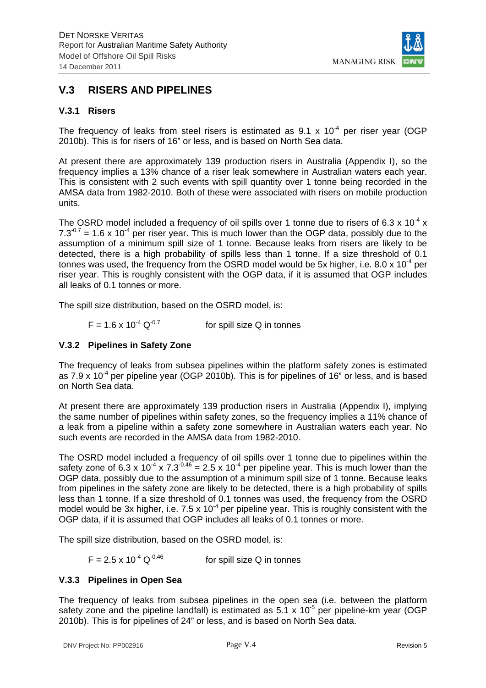

## **V.3 RISERS AND PIPELINES**

#### **V.3.1 Risers**

The frequency of leaks from steel risers is estimated as  $9.1 \times 10^{-4}$  per riser year (OGP 2010b). This is for risers of 16" or less, and is based on North Sea data.

At present there are approximately 139 production risers in Australia (Appendix I), so the frequency implies a 13% chance of a riser leak somewhere in Australian waters each year. This is consistent with 2 such events with spill quantity over 1 tonne being recorded in the AMSA data from 1982-2010. Both of these were associated with risers on mobile production units.

The OSRD model included a frequency of oil spills over 1 tonne due to risers of 6.3 x 10<sup>-4</sup> x  $7.3^{-0.7}$  = 1.6 x 10<sup>-4</sup> per riser year. This is much lower than the OGP data, possibly due to the assumption of a minimum spill size of 1 tonne. Because leaks from risers are likely to be detected, there is a high probability of spills less than 1 tonne. If a size threshold of 0.1 tonnes was used, the frequency from the OSRD model would be 5x higher, i.e. 8.0 x 10<sup>-4</sup> per riser year. This is roughly consistent with the OGP data, if it is assumed that OGP includes all leaks of 0.1 tonnes or more.

The spill size distribution, based on the OSRD model, is:

$$
F = 1.6 \times 10^{-4} \, \text{Q}^{-0.7}
$$
 for spill size Q in tonnes

#### **V.3.2 Pipelines in Safety Zone**

The frequency of leaks from subsea pipelines within the platform safety zones is estimated as 7.9 x  $10^{-4}$  per pipeline year (OGP 2010b). This is for pipelines of 16" or less, and is based on North Sea data.

At present there are approximately 139 production risers in Australia (Appendix I), implying the same number of pipelines within safety zones, so the frequency implies a 11% chance of a leak from a pipeline within a safety zone somewhere in Australian waters each year. No such events are recorded in the AMSA data from 1982-2010.

The OSRD model included a frequency of oil spills over 1 tonne due to pipelines within the safety zone of  $6.3 \times 10^{-4} \times 7.3^{0.46} = 2.5 \times 10^{-4}$  per pipeline year. This is much lower than the OGP data, possibly due to the assumption of a minimum spill size of 1 tonne. Because leaks from pipelines in the safety zone are likely to be detected, there is a high probability of spills less than 1 tonne. If a size threshold of 0.1 tonnes was used, the frequency from the OSRD model would be 3x higher, i.e.  $7.5 \times 10^{-4}$  per pipeline year. This is roughly consistent with the OGP data, if it is assumed that OGP includes all leaks of 0.1 tonnes or more.

The spill size distribution, based on the OSRD model, is:

 $F = 2.5 \times 10^{-4} \text{ Q}^{-0.46}$  for spill size Q in tonnes

#### **V.3.3 Pipelines in Open Sea**

The frequency of leaks from subsea pipelines in the open sea (i.e. between the platform safety zone and the pipeline landfall) is estimated as  $5.1 \times 10^{-5}$  per pipeline-km year (OGP 2010b). This is for pipelines of 24" or less, and is based on North Sea data.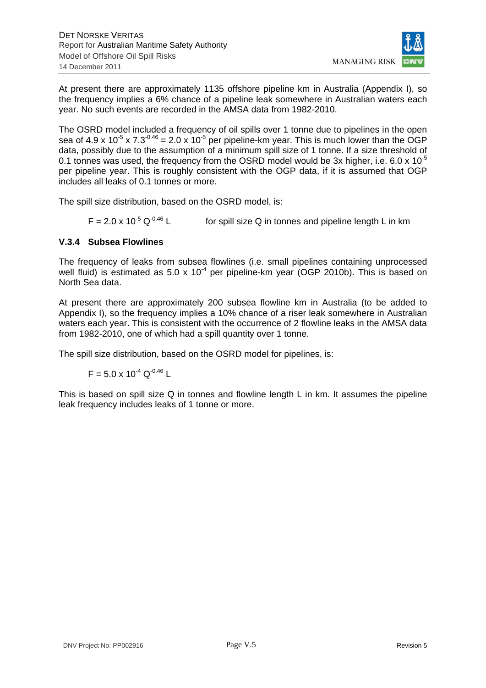

At present there are approximately 1135 offshore pipeline km in Australia (Appendix I), so the frequency implies a 6% chance of a pipeline leak somewhere in Australian waters each year. No such events are recorded in the AMSA data from 1982-2010.

The OSRD model included a frequency of oil spills over 1 tonne due to pipelines in the open sea of 4.9 x 10<sup>-5</sup> x 7.3<sup>-0.46</sup> = 2.0 x 10<sup>-5</sup> per pipeline-km year. This is much lower than the OGP data, possibly due to the assumption of a minimum spill size of 1 tonne. If a size threshold of 0.1 tonnes was used, the frequency from the OSRD model would be 3x higher, i.e. 6.0 x  $10^{-5}$ per pipeline year. This is roughly consistent with the OGP data, if it is assumed that OGP includes all leaks of 0.1 tonnes or more.

The spill size distribution, based on the OSRD model, is:

 $F = 2.0 \times 10^{-5} \text{ Q}^{-0.46} \text{ L}$  for spill size Q in tonnes and pipeline length L in km

### **V.3.4 Subsea Flowlines**

The frequency of leaks from subsea flowlines (i.e. small pipelines containing unprocessed well fluid) is estimated as  $5.0 \times 10^{-4}$  per pipeline-km year (OGP 2010b). This is based on North Sea data.

At present there are approximately 200 subsea flowline km in Australia (to be added to Appendix I), so the frequency implies a 10% chance of a riser leak somewhere in Australian waters each year. This is consistent with the occurrence of 2 flowline leaks in the AMSA data from 1982-2010, one of which had a spill quantity over 1 tonne.

The spill size distribution, based on the OSRD model for pipelines, is:

 $F = 5.0 \times 10^{-4} \text{ Q}^{-0.46}$  L

This is based on spill size Q in tonnes and flowline length L in km. It assumes the pipeline leak frequency includes leaks of 1 tonne or more.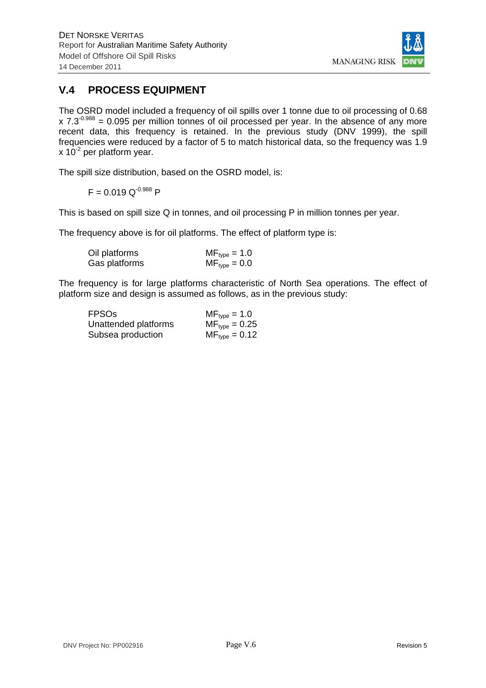

# **V.4 PROCESS EQUIPMENT**

The OSRD model included a frequency of oil spills over 1 tonne due to oil processing of 0.68  $x$  7.3<sup>-0.988</sup> = 0.095 per million tonnes of oil processed per year. In the absence of any more recent data, this frequency is retained. In the previous study (DNV 1999), the spill frequencies were reduced by a factor of 5 to match historical data, so the frequency was 1.9  $x$  10<sup>-2</sup> per platform year.

The spill size distribution, based on the OSRD model, is:

$$
F = 0.019 \text{ Q}^{-0.988} \text{ P}
$$

This is based on spill size Q in tonnes, and oil processing P in million tonnes per year.

The frequency above is for oil platforms. The effect of platform type is:

| Oil platforms | $MF_{type} = 1.0$ |
|---------------|-------------------|
| Gas platforms | $MF_{type} = 0.0$ |

The frequency is for large platforms characteristic of North Sea operations. The effect of platform size and design is assumed as follows, as in the previous study:

| <b>FPSO<sub>s</sub></b> | $MF_{type} = 1.0$  |
|-------------------------|--------------------|
| Unattended platforms    | $MF_{type} = 0.25$ |
| Subsea production       | $MF_{type} = 0.12$ |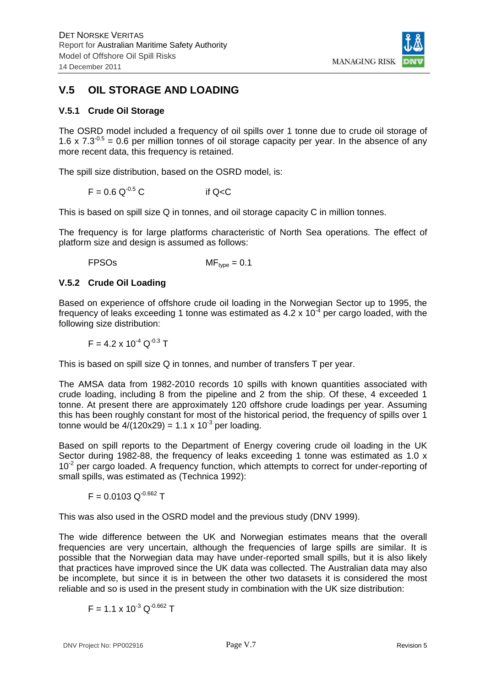

# **V.5 OIL STORAGE AND LOADING**

#### **V.5.1 Crude Oil Storage**

The OSRD model included a frequency of oil spills over 1 tonne due to crude oil storage of 1.6 x 7.3<sup>-0.5</sup> = 0.6 per million tonnes of oil storage capacity per year. In the absence of any more recent data, this frequency is retained.

The spill size distribution, based on the OSRD model, is:

$$
F = 0.6 \, \text{Q}^{-0.5} \, \text{C}
$$
 if  $\text{Q} < \text{C}$ 

This is based on spill size Q in tonnes, and oil storage capacity C in million tonnes.

The frequency is for large platforms characteristic of North Sea operations. The effect of platform size and design is assumed as follows:

FPSOs MFtype = 0.1

#### **V.5.2 Crude Oil Loading**

Based on experience of offshore crude oil loading in the Norwegian Sector up to 1995, the frequency of leaks exceeding 1 tonne was estimated as 4.2 x  $10^{-4}$  per cargo loaded, with the following size distribution:

 $F = 4.2 \times 10^{-4}$  Q<sup>-0.3</sup> T

This is based on spill size Q in tonnes, and number of transfers T per year.

The AMSA data from 1982-2010 records 10 spills with known quantities associated with crude loading, including 8 from the pipeline and 2 from the ship. Of these, 4 exceeded 1 tonne. At present there are approximately 120 offshore crude loadings per year. Assuming this has been roughly constant for most of the historical period, the frequency of spills over 1 tonne would be  $4/(120x29) = 1.1 \times 10^{-3}$  per loading.

Based on spill reports to the Department of Energy covering crude oil loading in the UK Sector during 1982-88, the frequency of leaks exceeding 1 tonne was estimated as 1.0 x  $10<sup>-2</sup>$  per cargo loaded. A frequency function, which attempts to correct for under-reporting of small spills, was estimated as (Technica 1992):

 $F = 0.0103 \text{ Q}^{0.662}$  T

This was also used in the OSRD model and the previous study (DNV 1999).

The wide difference between the UK and Norwegian estimates means that the overall frequencies are very uncertain, although the frequencies of large spills are similar. It is possible that the Norwegian data may have under-reported small spills, but it is also likely that practices have improved since the UK data was collected. The Australian data may also be incomplete, but since it is in between the other two datasets it is considered the most reliable and so is used in the present study in combination with the UK size distribution:

 $F = 1.1 \times 10^{-3}$  Q<sup>-0.662</sup> T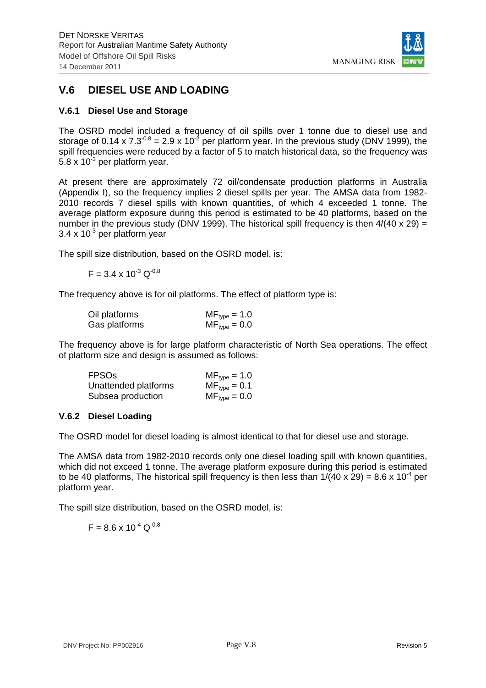

# **V.6 DIESEL USE AND LOADING**

### **V.6.1 Diesel Use and Storage**

The OSRD model included a frequency of oil spills over 1 tonne due to diesel use and storage of 0.14 x 7.3<sup>-0.8</sup> = 2.9 x 10<sup>-2</sup> per platform year. In the previous study (DNV 1999), the spill frequencies were reduced by a factor of 5 to match historical data, so the frequency was 5.8 x  $10^{-3}$  per platform year.

At present there are approximately 72 oil/condensate production platforms in Australia (Appendix I), so the frequency implies 2 diesel spills per year. The AMSA data from 1982- 2010 records 7 diesel spills with known quantities, of which 4 exceeded 1 tonne. The average platform exposure during this period is estimated to be 40 platforms, based on the number in the previous study (DNV 1999). The historical spill frequency is then  $4/(40 \times 29) =$ 3.4 x  $10^{-3}$  per platform year

The spill size distribution, based on the OSRD model, is:

$$
F = 3.4 \times 10^{-3} \, \text{Q}^{-0.8}
$$

The frequency above is for oil platforms. The effect of platform type is:

| Oil platforms | $MF_{type} = 1.0$ |
|---------------|-------------------|
| Gas platforms | $MF_{type} = 0.0$ |

The frequency above is for large platform characteristic of North Sea operations. The effect of platform size and design is assumed as follows:

| <b>FPSO<sub>s</sub></b> | $MF_{type} = 1.0$ |
|-------------------------|-------------------|
| Unattended platforms    | $MF_{type} = 0.1$ |
| Subsea production       | $MF_{type} = 0.0$ |

### **V.6.2 Diesel Loading**

The OSRD model for diesel loading is almost identical to that for diesel use and storage.

The AMSA data from 1982-2010 records only one diesel loading spill with known quantities, which did not exceed 1 tonne. The average platform exposure during this period is estimated to be 40 platforms. The historical spill frequency is then less than  $1/(40 \times 29) = 8.6 \times 10^{-4}$  per platform year.

The spill size distribution, based on the OSRD model, is:

$$
F = 8.6 \times 10^{-4} \text{ Q}^{-0.8}
$$